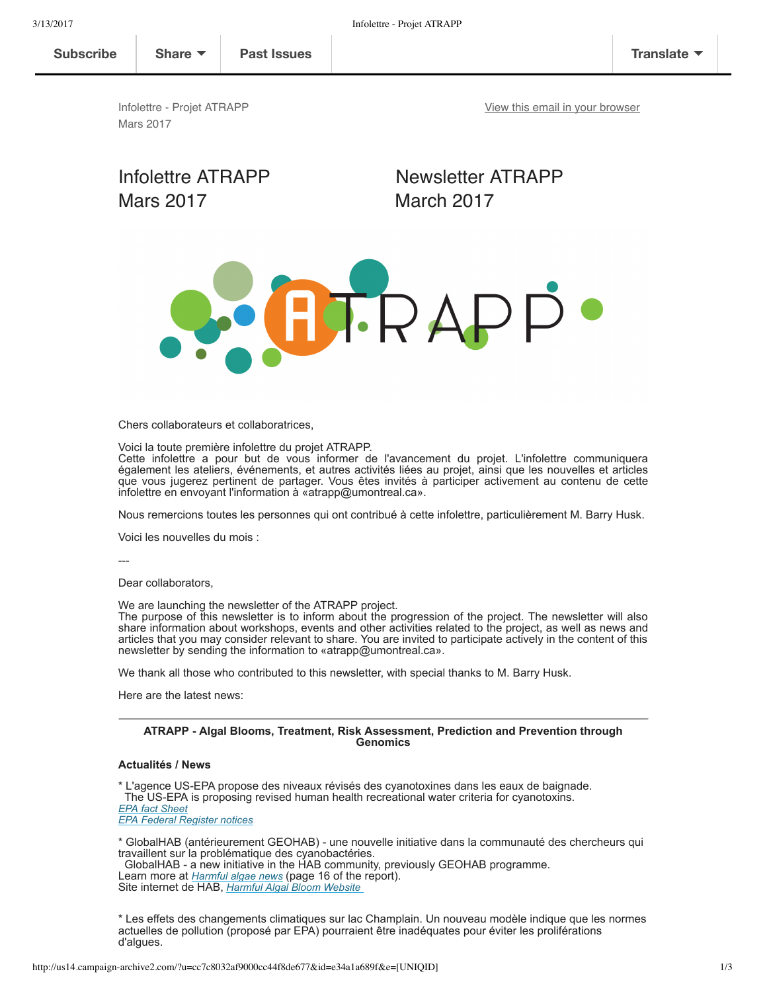**Subscribe Share Past Issues Translate**

View this email in your browser

Infolettre - Projet ATRAPP Mars 2017

# Mars 2017 March 2017

Infolettre ATRAPP Newsletter ATRAPP



Chers collaborateurs et collaboratrices,

Voici la toute première infolettre du projet ATRAPP.

Cette infolettre a pour but de vous informer de l'avancement du projet. L'infolettre communiquera également les ateliers, événements, et autres activités liées au projet, ainsi que les nouvelles et articles que vous jugerez pertinent de partager. Vous êtes invités à participer activement au contenu de cette infolettre en envoyant l'information à «atrapp@umontreal.ca».

Nous remercions toutes les personnes qui ont contribué à cette infolettre, particulièrement M. Barry Husk.

Voici les nouvelles du mois :

 $---$ 

Dear collaborators,

We are launching the newsletter of the ATRAPP project.

The purpose of this newsletter is to inform about the progression of the project. The newsletter will also share information about workshops, events and other activities related to the project, as well as news and articles that you may consider relevant to share. You are invited to participate actively in the content of this newsletter by sending the information to «atrapp@umontreal.ca».

We thank all those who contributed to this newsletter, with special thanks to M. Barry Husk.

Here are the latest news:

#### **ATRAPP Algal Blooms, Treatment, Risk Assessment, Prediction and Prevention through Genomics**

# **Actualités / News**

\* L'agence USEPA propose des niveaux révisés des cyanotoxines dans les eaux de baignade. The US-EPA is proposing revised human health recreational water criteria for cyanotoxins. *EPA fact Sheet EPA Federal Register notices*

\* GlobalHAB (antérieurement GEOHAB) une nouvelle initiative dans la communauté des chercheurs qui travaillent sur la problématique des cyanobactéries.

 GlobalHAB a new initiative in the HAB community, previously GEOHAB programme. Learn more at *Harmful algae news* (page 16 of the report). Site internet de HAB, *Harmful Algal Bloom Website* 

\* Les effets des changements climatiques sur lac Champlain. Un nouveau modèle indique que les normes actuelles de pollution (proposé par EPA) pourraient être inadéquates pour éviter les proliférations d'algues.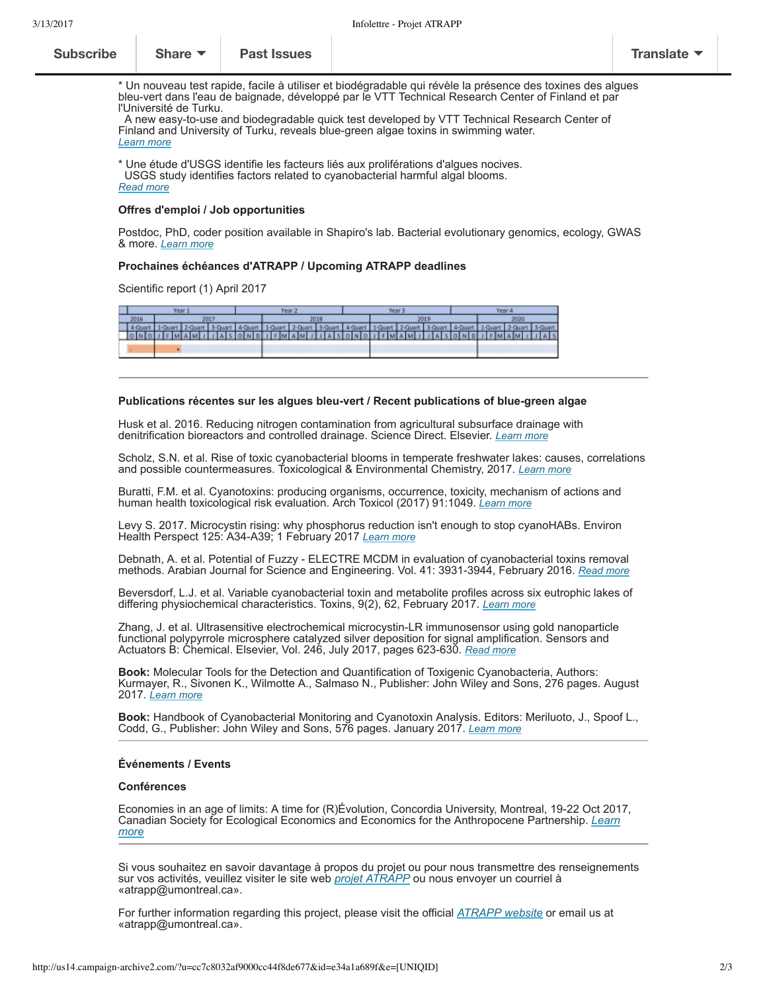| <b>Subscribe</b> | Share $\blacktriangledown$ | <b>Past Issues</b> |  | Translate $\blacktriangledown$ |
|------------------|----------------------------|--------------------|--|--------------------------------|
|------------------|----------------------------|--------------------|--|--------------------------------|

\* Un nouveau test rapide, facile à utiliser et biodégradable qui révèle la présence des toxines des algues bleu-vert dans l'eau de baignade, développé par le VTT Technical Research Center of Finland et par l'Université de Turku.

A new easy-to-use and biodegradable quick test developed by VTT Technical Research Center of Finland and University of Turku, reveals bluegreen algae toxins in swimming water. *Learn more*

\* Une étude d'USGS identifie les facteurs liés aux proliférations d'algues nocives. USGS study identifies factors related to cyanobacterial harmful algal blooms. *Read more*

#### **Offres d'emploi / Job opportunities**

Postdoc, PhD, coder position available in Shapiro's lab. Bacterial evolutionary genomics, ecology, GWAS & more. *Learn more*

# **Prochaines échéances d'ATRAPP / Upcoming ATRAPP deadlines**

Scientific report (1) April 2017

| Year 3 |                                                                                                                                                                                                                                |  | Year 2 |  | Year: |  |  | Year 4 |  |  |  |
|--------|--------------------------------------------------------------------------------------------------------------------------------------------------------------------------------------------------------------------------------|--|--------|--|-------|--|--|--------|--|--|--|
| 2016   | 2011                                                                                                                                                                                                                           |  | 2018   |  | 2019  |  |  | 2020   |  |  |  |
|        | 4-Quart   1-Quart   2-Quart   3-Quart   4-Quart   1-Quart   2-Quart   1-Quart   2-Quart   2-Quart   3-Quart   2-Quart   2-Quart   2-Quart   2-Quart   2-Quart   2-Quart   2-Quart   2-Quart   2-Quart   2-Quart   2-Quart   2- |  |        |  |       |  |  |        |  |  |  |
|        | ONDIEMAMIDIASONDIEMAMIDIASONDIEMAMIDIASONDIEMAMIDIAS                                                                                                                                                                           |  |        |  |       |  |  |        |  |  |  |
|        |                                                                                                                                                                                                                                |  |        |  |       |  |  |        |  |  |  |
|        |                                                                                                                                                                                                                                |  |        |  |       |  |  |        |  |  |  |

#### Publications récentes sur les algues bleu-vert / Recent publications of blue-green algae

Husk et al. 2016. Reducing nitrogen contamination from agricultural subsurface drainage with denitrification bioreactors and controlled drainage. Science Direct. Elsevier. *Learn more*

Scholz, S.N. et al. Rise of toxic cyanobacterial blooms in temperate freshwater lakes: causes, correlations and possible countermeasures. Toxicological & Environmental Chemistry, 2017. *Learn more*

Buratti, F.M. et al. Cyanotoxins: producing organisms, occurrence, toxicity, mechanism of actions and human health toxicological risk evaluation. Arch Toxicol (2017) 91:1049. *Learn more*

Levy S. 2017. Microcystin rising: why phosphorus reduction isn't enough to stop cyanoHABs. Environ Health Perspect 125: A34A39; 1 February 2017 *Learn more*

Debnath, A. et al. Potential of Fuzzy - ELECTRE MCDM in evaluation of cyanobacterial toxins removal methods. Arabian Journal for Science and Engineering. Vol. 41: 39313944, February 2016. *Read more*

Beversdorf, L.J. et al. Variable cyanobacterial toxin and metabolite profiles across six eutrophic lakes of differing physiochemical characteristics. Toxins, 9(2), 62, February 2017. *Learn more*

Zhang, J. et al. Ultrasensitive electrochemical microcystinLR immunosensor using gold nanoparticle functional polypyrrole microsphere catalyzed silver deposition for signal amplification. Sensors and Actuators B: Chemical. Elsevier, Vol. 246, July 2017, pages 623-630. *Read more* 

**Book:** Molecular Tools for the Detection and Quantification of Toxigenic Cyanobacteria, Authors: Kurmayer, R., Sivonen K., Wilmotte A., Salmaso N., Publisher: John Wiley and Sons, 276 pages. August 2017. *Learn more*

**Book:** Handbook of Cyanobacterial Monitoring and Cyanotoxin Analysis. Editors: Meriluoto, J., Spoof L., Codd, G., Publisher: John Wiley and Sons, 576 pages. January 2017. *Learn more*

# **Événements / Events**

### **Conférences**

Economies in an age of limits: A time for (R)Évolution, Concordia University, Montreal, 19-22 Oct 2017, Canadian Society for Ecological Economics and Economics for the Anthropocene Partnership. *Learn more*

Si vous souhaitez en savoir davantage à propos du projet ou pour nous transmettre des renseignements sur vos activités, veuillez visiter le site web *projet ATRAPP* ou nous envoyer un courriel à «atrapp@umontreal.ca».

For further information regarding this project, please visit the official *ATRAPP website* or email us at «atrapp@umontreal.ca».